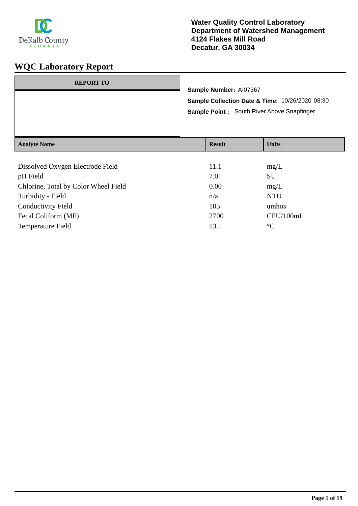

| <b>REPORT TO</b>    | Sample Number: AI07367<br>Sample Collection Date & Time: 10/26/2020 08:30<br>Sample Point: South River Above Snapfinger |               |              |
|---------------------|-------------------------------------------------------------------------------------------------------------------------|---------------|--------------|
| <b>Analyte Name</b> |                                                                                                                         | <b>Result</b> | <b>Units</b> |
|                     |                                                                                                                         |               |              |

| Dissolved Oxygen Electrode Field     | 11.1 | mg/L            |
|--------------------------------------|------|-----------------|
| pH Field                             | 7.0  | <b>SU</b>       |
| Chlorine, Total by Color Wheel Field | 0.00 | mg/L            |
| Turbidity - Field                    | n/a  | <b>NTU</b>      |
| <b>Conductivity Field</b>            | 105  | umhos           |
| Fecal Coliform (MF)                  | 2700 | CFU/100mL       |
| <b>Temperature Field</b>             | 13.1 | $\rm ^{\circ}C$ |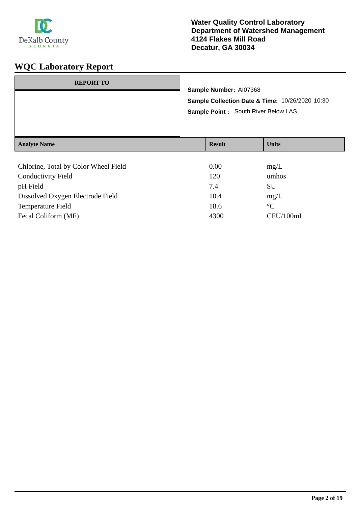

| <b>REPORT TO</b>                     | Sample Number: AI07368<br>Sample Collection Date & Time: 10/26/2020 10:30<br><b>Sample Point: South River Below LAS</b> |               |              |
|--------------------------------------|-------------------------------------------------------------------------------------------------------------------------|---------------|--------------|
| <b>Analyte Name</b>                  |                                                                                                                         | <b>Result</b> | <b>Units</b> |
| Chlorine, Total by Color Wheel Field |                                                                                                                         | 0.00          | mg/L         |

| <b>Conductivity Field</b>        | 120  | umhos     |
|----------------------------------|------|-----------|
| pH Field                         | 7.4  | SU        |
| Dissolved Oxygen Electrode Field | 10.4 | mg/L      |
| <b>Temperature Field</b>         | 18.6 | $\circ$ C |
| Fecal Coliform (MF)              | 4300 | CFU/100mL |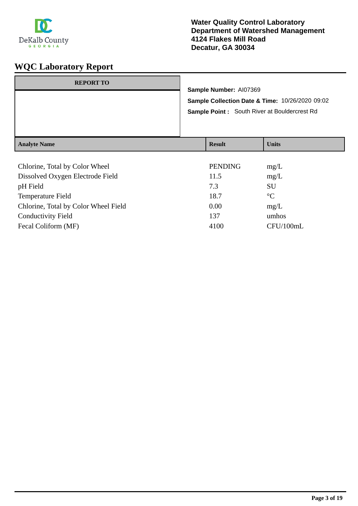

| <b>REPORT TO</b>    | Sample Number: AI07369 | Sample Collection Date & Time: 10/26/2020 09:02<br><b>Sample Point:</b> South River at Bouldercrest Rd |
|---------------------|------------------------|--------------------------------------------------------------------------------------------------------|
| <b>Analyte Name</b> | <b>Result</b>          | <b>Units</b>                                                                                           |

| Chlorine, Total by Color Wheel       | <b>PENDING</b> | mg/L            |
|--------------------------------------|----------------|-----------------|
| Dissolved Oxygen Electrode Field     | 11.5           | mg/L            |
| pH Field                             | 7.3            | <b>SU</b>       |
| <b>Temperature Field</b>             | 18.7           | $\rm ^{\circ}C$ |
| Chlorine, Total by Color Wheel Field | 0.00           | mg/L            |
| <b>Conductivity Field</b>            | 137            | umhos           |
| Fecal Coliform (MF)                  | 4100           | CFU/100mL       |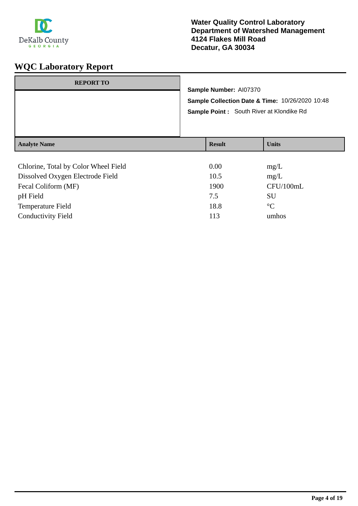

| <b>REPORT TO</b>                     |                                                 |               |                        |  |
|--------------------------------------|-------------------------------------------------|---------------|------------------------|--|
|                                      | Sample Collection Date & Time: 10/26/2020 10:48 |               | Sample Number: AI07370 |  |
|                                      | Sample Point: South River at Klondike Rd        |               |                        |  |
| <b>Analyte Name</b>                  |                                                 | <b>Result</b> | <b>Units</b>           |  |
| Chlorine, Total by Color Wheel Field |                                                 | 0.00          | mg/L                   |  |

| $\epsilon$ , $\epsilon$ , $\epsilon$ , $\epsilon$ , $\epsilon$ , $\epsilon$ , $\epsilon$ , $\epsilon$ , $\epsilon$ , $\epsilon$ , $\epsilon$ , $\epsilon$ , $\epsilon$ , $\epsilon$ , $\epsilon$ , $\epsilon$ , $\epsilon$ , $\epsilon$ , $\epsilon$ , $\epsilon$ , $\epsilon$ , $\epsilon$ , $\epsilon$ , $\epsilon$ , $\epsilon$ , $\epsilon$ , $\epsilon$ , $\epsilon$ , $\epsilon$ , $\epsilon$ , $\epsilon$ , $\epsilon$ , $\epsilon$ , $\epsilon$ , $\epsilon$ , $\epsilon$ , $\epsilon$ , | $v\cdots$ | $\mathbf{u}$    |
|--------------------------------------------------------------------------------------------------------------------------------------------------------------------------------------------------------------------------------------------------------------------------------------------------------------------------------------------------------------------------------------------------------------------------------------------------------------------------------------------------|-----------|-----------------|
| Dissolved Oxygen Electrode Field                                                                                                                                                                                                                                                                                                                                                                                                                                                                 | 10.5      | mg/L            |
| Fecal Coliform (MF)                                                                                                                                                                                                                                                                                                                                                                                                                                                                              | 1900      | CFU/100mL       |
| pH Field                                                                                                                                                                                                                                                                                                                                                                                                                                                                                         | 7.5       | SU              |
| Temperature Field                                                                                                                                                                                                                                                                                                                                                                                                                                                                                | 18.8      | $\rm ^{\circ}C$ |
| <b>Conductivity Field</b>                                                                                                                                                                                                                                                                                                                                                                                                                                                                        | 113       | umhos           |
|                                                                                                                                                                                                                                                                                                                                                                                                                                                                                                  |           |                 |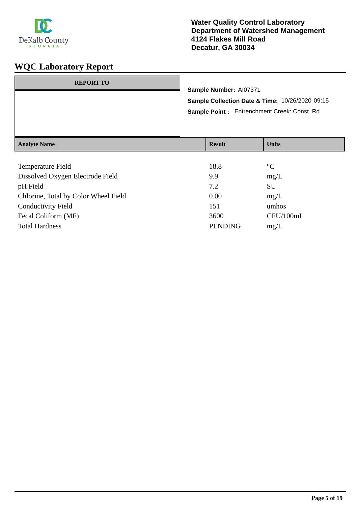

| <b>REPORT TO</b>    | Sample Number: AI07371 | Sample Collection Date & Time: 10/26/2020 09:15<br>Sample Point: Entrenchment Creek: Const. Rd. |
|---------------------|------------------------|-------------------------------------------------------------------------------------------------|
| <b>Analyte Name</b> | <b>Result</b>          | <b>Units</b>                                                                                    |

| <b>Temperature Field</b>             | 18.8           | $\rm ^{\circ}C$ |
|--------------------------------------|----------------|-----------------|
| Dissolved Oxygen Electrode Field     | 9.9            | mg/L            |
| pH Field                             | 7.2            | SU              |
| Chlorine, Total by Color Wheel Field | 0.00           | mg/L            |
| <b>Conductivity Field</b>            | 151            | umhos           |
| Fecal Coliform (MF)                  | 3600           | CFU/100mL       |
| <b>Total Hardness</b>                | <b>PENDING</b> | mg/L            |
|                                      |                |                 |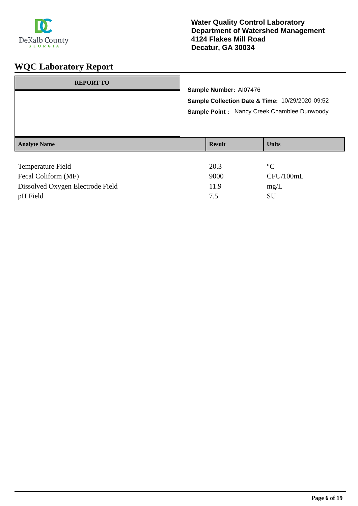

| <b>REPORT TO</b>    |                                                                                                                          |                 |  |
|---------------------|--------------------------------------------------------------------------------------------------------------------------|-----------------|--|
|                     | Sample Number: AI07476<br>Sample Collection Date & Time: 10/29/2020 09:52<br>Sample Point: Nancy Creek Chamblee Dunwoody |                 |  |
|                     |                                                                                                                          |                 |  |
|                     |                                                                                                                          |                 |  |
| <b>Analyte Name</b> | <b>Result</b>                                                                                                            | <b>Units</b>    |  |
|                     |                                                                                                                          |                 |  |
| Temperature Field   | 20.3                                                                                                                     | $\rm ^{\circ}C$ |  |
| Fecal Coliform (MF) | 9000                                                                                                                     | CFU/100mL       |  |

| Fecal Coliform (MF)              | 9000 | CFU  |
|----------------------------------|------|------|
| Dissolved Oxygen Electrode Field | 11.9 | mg/L |
| pH Field                         |      | SU   |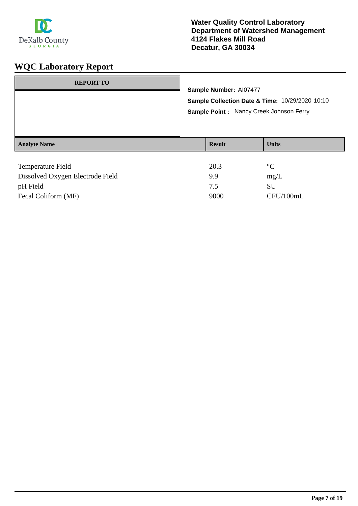

| <b>REPORT TO</b>    | Sample Number: AI07477<br>Sample Collection Date & Time: 10/29/2020 10:10<br>Sample Point: Nancy Creek Johnson Ferry |               |                 |
|---------------------|----------------------------------------------------------------------------------------------------------------------|---------------|-----------------|
| <b>Analyte Name</b> |                                                                                                                      | <b>Result</b> | <b>Units</b>    |
| Temperature Field   |                                                                                                                      | 20.3          | $\rm ^{\circ}C$ |

| Dissolved Oxygen Electrode Field | 99   | mg/L      |
|----------------------------------|------|-----------|
| pH Field                         |      | SU.       |
| Fecal Coliform (MF)              | 9000 | CFU/100mL |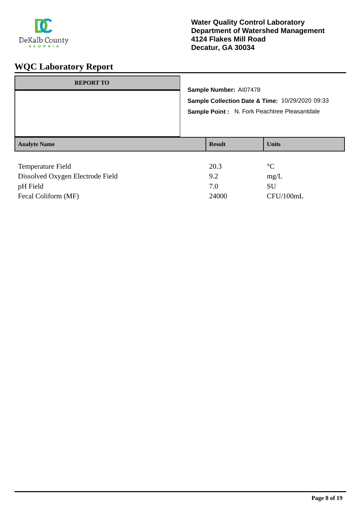

| <b>REPORT TO</b>                 |  |                                                                           |  |                 |  |
|----------------------------------|--|---------------------------------------------------------------------------|--|-----------------|--|
|                                  |  | Sample Number: AI07478<br>Sample Collection Date & Time: 10/29/2020 09:33 |  |                 |  |
|                                  |  |                                                                           |  |                 |  |
|                                  |  | Sample Point : N. Fork Peachtree Pleasantdale                             |  |                 |  |
|                                  |  |                                                                           |  |                 |  |
|                                  |  |                                                                           |  |                 |  |
| <b>Analyte Name</b>              |  | <b>Result</b>                                                             |  | <b>Units</b>    |  |
|                                  |  |                                                                           |  |                 |  |
| Temperature Field                |  | 20.3                                                                      |  | $\rm ^{\circ}C$ |  |
| Dissolved Oxygen Electrode Field |  | 92                                                                        |  | $m\sigma$       |  |

| Dissolved Oxygen Electrode Field | 9.2   | mg/L      |
|----------------------------------|-------|-----------|
| pH Field                         | 7 O   | -SU       |
| Fecal Coliform (MF)              | 24000 | CFU/100mL |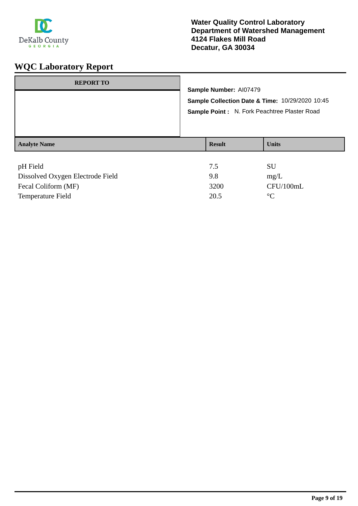

| <b>REPORT TO</b>    | Sample Number: Al07479<br>Sample Collection Date & Time: 10/29/2020 10:45<br>Sample Point: N. Fork Peachtree Plaster Road |                |              |
|---------------------|---------------------------------------------------------------------------------------------------------------------------|----------------|--------------|
| <b>Analyte Name</b> |                                                                                                                           | <b>Result</b>  | <b>Units</b> |
| $\sim$ U Eiald      |                                                                                                                           | 7 <sup>5</sup> | <b>CTT</b>   |

| pH Field                         | 7.5  | SU.         |
|----------------------------------|------|-------------|
| Dissolved Oxygen Electrode Field | 9.8  | mg/L        |
| Fecal Coliform (MF)              | 3200 | CFU/100mL   |
| Temperature Field                | 20.5 | $^{\circ}C$ |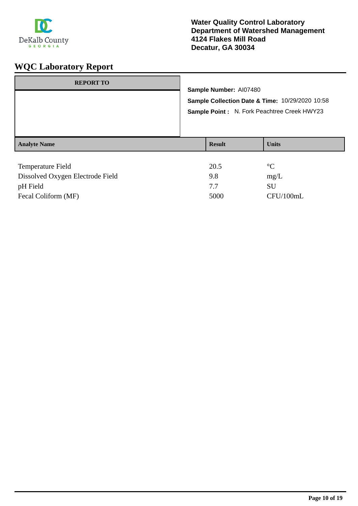

| <b>REPORT TO</b>         | Sample Number: AI07480<br>Sample Collection Date & Time: 10/29/2020 10:58<br>Sample Point: N. Fork Peachtree Creek HWY23 |              |  |
|--------------------------|--------------------------------------------------------------------------------------------------------------------------|--------------|--|
| <b>Analyte Name</b>      | <b>Result</b>                                                                                                            | <b>Units</b> |  |
| <b>Temperature Field</b> | 20.5                                                                                                                     | $^{\circ}C$  |  |

| Dissolved Oxygen Electrode Field | 9.8  | mg/L      |
|----------------------------------|------|-----------|
| pH Field                         |      | SU        |
| Fecal Coliform (MF)              | 5000 | CFU/100mL |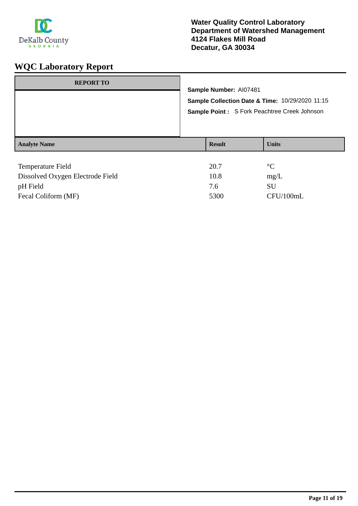

| <b>REPORT TO</b>                 |                                              |                                                 |                 |  |
|----------------------------------|----------------------------------------------|-------------------------------------------------|-----------------|--|
|                                  |                                              | Sample Number: AI07481                          |                 |  |
|                                  |                                              | Sample Collection Date & Time: 10/29/2020 11:15 |                 |  |
|                                  | Sample Point: S Fork Peachtree Creek Johnson |                                                 |                 |  |
| <b>Analyte Name</b>              |                                              | <b>Result</b>                                   | <b>Units</b>    |  |
|                                  |                                              |                                                 |                 |  |
| Temperature Field                |                                              | 20.7                                            | $\rm ^{\circ}C$ |  |
| Dissolved Oxygen Flectrode Field |                                              | 10.8                                            | $m\alpha$       |  |

| Dissolved Oxygen Electrode Field | 10.8 | mg/L      |
|----------------------------------|------|-----------|
| pH Field                         | 7.6  | SU        |
| Fecal Coliform (MF)              | 5300 | CFU/100mL |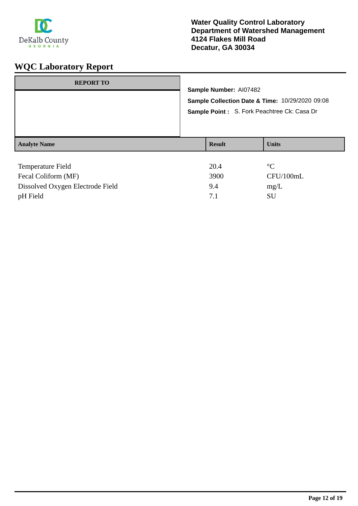

| <b>REPORT TO</b>                            | Sample Number: AI07482<br>Sample Collection Date & Time: 10/29/2020 09:08<br>Sample Point: S. Fork Peachtree Ck: Casa Dr |               |                   |
|---------------------------------------------|--------------------------------------------------------------------------------------------------------------------------|---------------|-------------------|
|                                             |                                                                                                                          |               |                   |
| <b>Analyte Name</b>                         |                                                                                                                          | <b>Result</b> | <b>Units</b>      |
| Temperature Field                           |                                                                                                                          | 20.4          | $\rm ^{\circ}C$   |
| $F_{\alpha}$ $C_{\alpha}$ $F_{\alpha}$ (MF) |                                                                                                                          | 3000.         | $C$ EI $1/100$ mI |

| TUMPURURU TRIU                   | $\sim$ $\sim$ $\sim$ |           |
|----------------------------------|----------------------|-----------|
| Fecal Coliform (MF)              | 3900                 | CFU/100mL |
| Dissolved Oxygen Electrode Field | 9.4                  | mg/L      |
| pH Field                         |                      | SU        |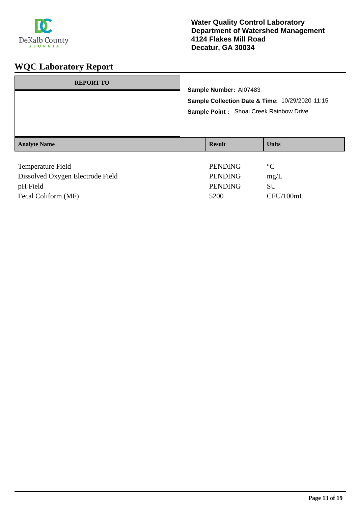

| <b>REPORT TO</b>                 | Sample Number: AI07483<br>Sample Collection Date & Time: 10/29/2020 11:15<br>Sample Point: Shoal Creek Rainbow Drive |                |                 |
|----------------------------------|----------------------------------------------------------------------------------------------------------------------|----------------|-----------------|
| <b>Analyte Name</b>              |                                                                                                                      | <b>Result</b>  | <b>Units</b>    |
|                                  |                                                                                                                      |                |                 |
| Temperature Field                |                                                                                                                      | <b>PENDING</b> | $\rm ^{\circ}C$ |
| Dissolved Oxygen Electrode Field |                                                                                                                      | <b>PENDING</b> | mg/L            |
| pH Field                         |                                                                                                                      | <b>PENDING</b> | SU              |

Fecal Coliform (MF) 5200 CFU/100mL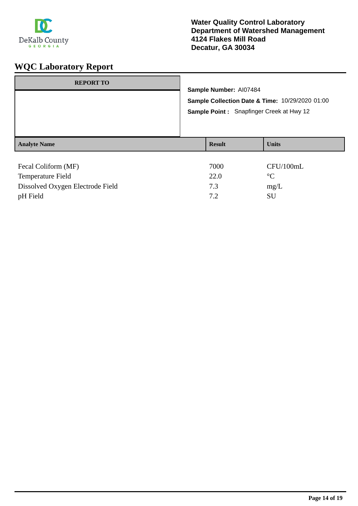

| <b>REPORT TO</b>    | Sample Number: AI07484<br>Sample Collection Date & Time: 10/29/2020 01:00<br><b>Sample Point:</b> Snapfinger Creek at Hwy 12 |               |              |
|---------------------|------------------------------------------------------------------------------------------------------------------------------|---------------|--------------|
| <b>Analyte Name</b> |                                                                                                                              | <b>Result</b> | <b>Units</b> |
| Fecal Coliform (MF) |                                                                                                                              | 7000          | CFU/100mL    |

| <b>Temperature Field</b>         | 22.0 | $^{\circ}C$ |
|----------------------------------|------|-------------|
| Dissolved Oxygen Electrode Field | 7.3  | mg/L        |
| pH Field                         | 72   | SU          |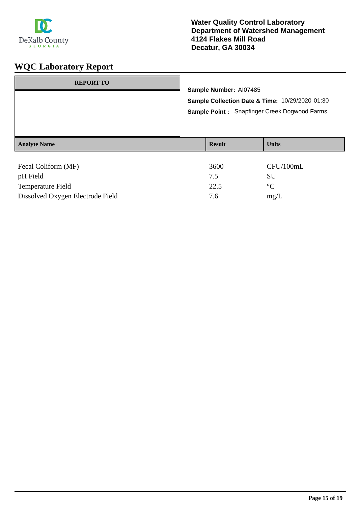

| <b>REPORT TO</b>                                     | Sample Number: AI07485<br>Sample Collection Date & Time: 10/29/2020 01:30<br>Sample Point: Snapfinger Creek Dogwood Farms |                     |                                    |
|------------------------------------------------------|---------------------------------------------------------------------------------------------------------------------------|---------------------|------------------------------------|
| <b>Analyte Name</b>                                  |                                                                                                                           | <b>Result</b>       | <b>Units</b>                       |
| Fecal Coliform (MF)<br>pH Field<br>Temperature Field |                                                                                                                           | 3600<br>7.5<br>22.5 | CFU/100mL<br>SU<br>$\rm ^{\circ}C$ |

Dissolved Oxygen Electrode Field 7.6 mg/L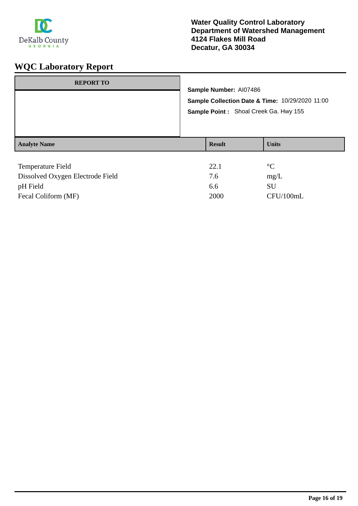

| <b>REPORT TO</b>    | Sample Number: AI07486<br>Sample Collection Date & Time: 10/29/2020 11:00<br>Sample Point: Shoal Creek Ga. Hwy 155 |               |                 |
|---------------------|--------------------------------------------------------------------------------------------------------------------|---------------|-----------------|
| <b>Analyte Name</b> |                                                                                                                    | <b>Result</b> | <b>Units</b>    |
| Temperature Field   |                                                                                                                    | 22.1          | $\rm ^{\circ}C$ |

| Dissolved Oxygen Electrode Field | 7.6  | mg/L      |
|----------------------------------|------|-----------|
| pH Field                         | 6.6  | SU        |
| Fecal Coliform (MF)              | 2000 | CFU/100mL |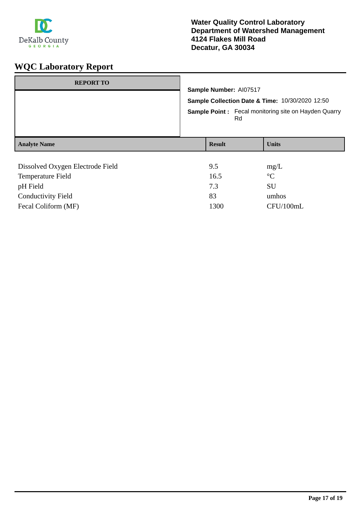

| <b>REPORT TO</b>                 | Sample Number: AI07517<br>Sample Collection Date & Time: 10/30/2020 12:50<br><b>Sample Point:</b> Fecal monitoring site on Hayden Quarry<br>Rd |                 |  |
|----------------------------------|------------------------------------------------------------------------------------------------------------------------------------------------|-----------------|--|
| <b>Analyte Name</b>              | <b>Result</b>                                                                                                                                  | <b>Units</b>    |  |
|                                  |                                                                                                                                                |                 |  |
| Dissolved Oxygen Electrode Field | 9.5                                                                                                                                            | mg/L            |  |
| Temperature Field                | 16.5                                                                                                                                           | $\rm ^{\circ}C$ |  |
| pH Field                         | 7.3                                                                                                                                            | SU              |  |
|                                  |                                                                                                                                                |                 |  |

Fecal Coliform (MF) 1300 CFU/100mL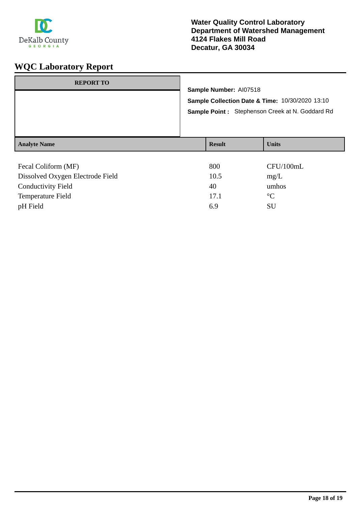

| <b>REPORT TO</b>                                               | Sample Number: AI07518<br>Sample Collection Date & Time: 10/30/2020 13:10<br>Sample Point: Stephenson Creek at N. Goddard Rd |               |              |
|----------------------------------------------------------------|------------------------------------------------------------------------------------------------------------------------------|---------------|--------------|
| <b>Analyte Name</b>                                            |                                                                                                                              | <b>Result</b> | <b>Units</b> |
| $\Gamma$ $\Gamma$ $\Gamma$ $\Gamma$ $\Gamma$ $\Gamma$<br>(1.5) |                                                                                                                              | 000           | ATTI/100T    |

| Fecal Coliform (MF)              | 800  | CFU/100mL       |
|----------------------------------|------|-----------------|
| Dissolved Oxygen Electrode Field | 10.5 | mg/L            |
| <b>Conductivity Field</b>        | 40   | umhos           |
| Temperature Field                | 17.1 | $\rm ^{\circ}C$ |
| pH Field                         | 6.9  | SU              |